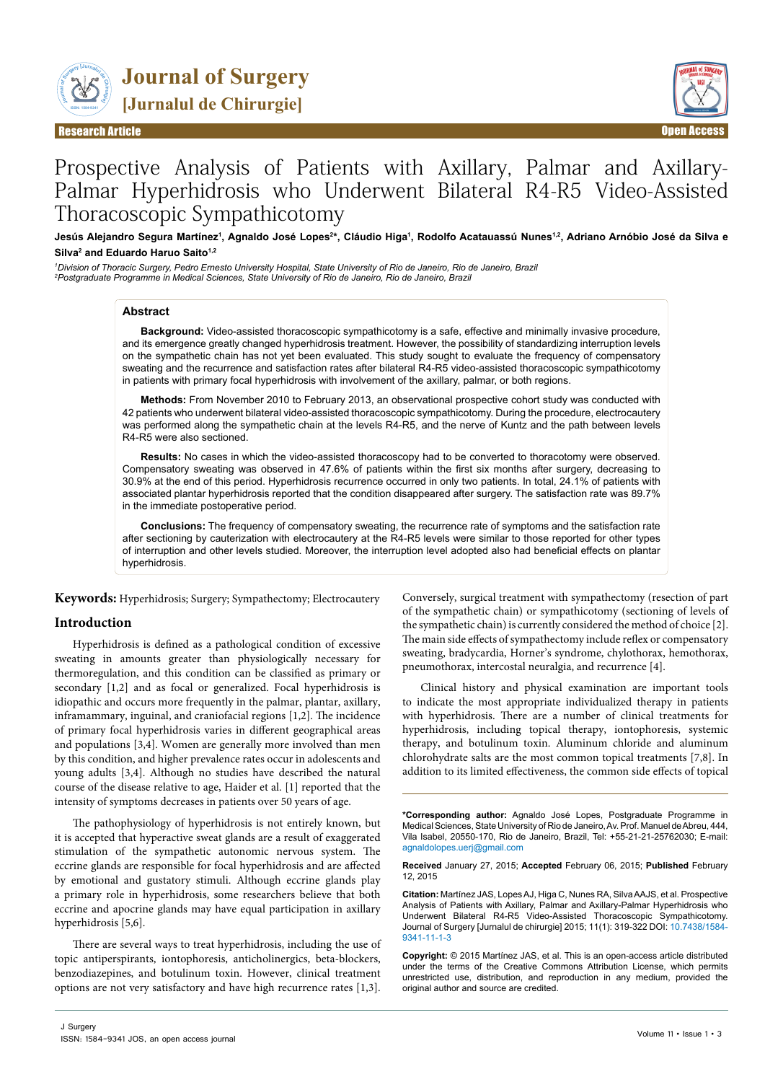

**Journal of Surgery [Jurnalul de Chirurgie]**

Research Article Open Access



# Prospective Analysis of Patients with Axillary, Palmar and Axillary-Palmar Hyperhidrosis who Underwent Bilateral R4-R5 Video-Assisted Thoracoscopic Sympathicotomy

Jesús Alejandro Segura Martínez<sup>ı</sup>, Agnaldo José Lopes<sup>2</sup>\*, Cláudio Higa<sup>ı</sup>, Rodolfo Acatauassú Nunes<sup>1,2</sup>, Adriano Arnóbio José da Silva e **Silva2 and Eduardo Haruo Saito1,2**

*1 Division of Thoracic Surgery, Pedro Ernesto University Hospital, State University of Rio de Janeiro, Rio de Janeiro, Brazil 2 Postgraduate Programme in Medical Sciences, State University of Rio de Janeiro, Rio de Janeiro, Brazil*

## **Abstract**

**Background:** Video-assisted thoracoscopic sympathicotomy is a safe, effective and minimally invasive procedure, and its emergence greatly changed hyperhidrosis treatment. However, the possibility of standardizing interruption levels on the sympathetic chain has not yet been evaluated. This study sought to evaluate the frequency of compensatory sweating and the recurrence and satisfaction rates after bilateral R4-R5 video-assisted thoracoscopic sympathicotomy in patients with primary focal hyperhidrosis with involvement of the axillary, palmar, or both regions.

**Methods:** From November 2010 to February 2013, an observational prospective cohort study was conducted with 42 patients who underwent bilateral video-assisted thoracoscopic sympathicotomy. During the procedure, electrocautery was performed along the sympathetic chain at the levels R4-R5, and the nerve of Kuntz and the path between levels R4-R5 were also sectioned.

**Results:** No cases in which the video-assisted thoracoscopy had to be converted to thoracotomy were observed. Compensatory sweating was observed in 47.6% of patients within the first six months after surgery, decreasing to 30.9% at the end of this period. Hyperhidrosis recurrence occurred in only two patients. In total, 24.1% of patients with associated plantar hyperhidrosis reported that the condition disappeared after surgery. The satisfaction rate was 89.7% in the immediate postoperative period.

**Conclusions:** The frequency of compensatory sweating, the recurrence rate of symptoms and the satisfaction rate after sectioning by cauterization with electrocautery at the R4-R5 levels were similar to those reported for other types of interruption and other levels studied. Moreover, the interruption level adopted also had beneficial effects on plantar hyperhidrosis.

**Keywords:** Hyperhidrosis; Surgery; Sympathectomy; Electrocautery

# **Introduction**

Hyperhidrosis is defined as a pathological condition of excessive sweating in amounts greater than physiologically necessary for thermoregulation, and this condition can be classified as primary or secondary [1,2] and as focal or generalized. Focal hyperhidrosis is idiopathic and occurs more frequently in the palmar, plantar, axillary, inframammary, inguinal, and craniofacial regions [1,2]. The incidence of primary focal hyperhidrosis varies in different geographical areas and populations [3,4]. Women are generally more involved than men by this condition, and higher prevalence rates occur in adolescents and young adults [3,4]. Although no studies have described the natural course of the disease relative to age, Haider et al. [1] reported that the intensity of symptoms decreases in patients over 50 years of age.

The pathophysiology of hyperhidrosis is not entirely known, but it is accepted that hyperactive sweat glands are a result of exaggerated stimulation of the sympathetic autonomic nervous system. The eccrine glands are responsible for focal hyperhidrosis and are affected by emotional and gustatory stimuli. Although eccrine glands play a primary role in hyperhidrosis, some researchers believe that both eccrine and apocrine glands may have equal participation in axillary hyperhidrosis [5,6].

There are several ways to treat hyperhidrosis, including the use of topic antiperspirants, iontophoresis, anticholinergics, beta-blockers, benzodiazepines, and botulinum toxin. However, clinical treatment options are not very satisfactory and have high recurrence rates [1,3].

Conversely, surgical treatment with sympathectomy (resection of part of the sympathetic chain) or sympathicotomy (sectioning of levels of the sympathetic chain) is currently considered the method of choice [2]. The main side effects of sympathectomy include reflex or compensatory sweating, bradycardia, Horner's syndrome, chylothorax, hemothorax, pneumothorax, intercostal neuralgia, and recurrence [4].

Clinical history and physical examination are important tools to indicate the most appropriate individualized therapy in patients with hyperhidrosis. There are a number of clinical treatments for hyperhidrosis, including topical therapy, iontophoresis, systemic therapy, and botulinum toxin. Aluminum chloride and aluminum chlorohydrate salts are the most common topical treatments [7,8]. In addition to its limited effectiveness, the common side effects of topical

**\*Corresponding author:** Agnaldo José Lopes, Postgraduate Programme in Medical Sciences, State University of Rio de Janeiro, Av. Prof. Manuel de Abreu, 444, Vila Isabel, 20550-170, Rio de Janeiro, Brazil, Tel: +55-21-21-25762030; E-mail: agnaldolopes.uerj@gmail.com

**Received** January 27, 2015; **Accepted** February 06, 2015; **Published** February 12, 2015

**Citation:** Martínez JAS, Lopes AJ, Higa C, Nunes RA, Silva AAJS, et al. Prospective Analysis of Patients with Axillary, Palmar and Axillary-Palmar Hyperhidrosis who Underwent Bilateral R4-R5 Video-Assisted Thoracoscopic Sympathicotomy. Journal of Surgery [Jurnalul de chirurgie] 2015; 11(1): 319-322 DOI: [10.7438/1584-](http://dx.doi.rg/10.7438/1584-9341-11-1-3) [9341-11-1-3](http://dx.doi.rg/10.7438/1584-9341-11-1-3)

**Copyright:** © 2015 Martínez JAS, et al. This is an open-access article distributed under the terms of the Creative Commons Attribution License, which permits unrestricted use, distribution, and reproduction in any medium, provided the original author and source are credited.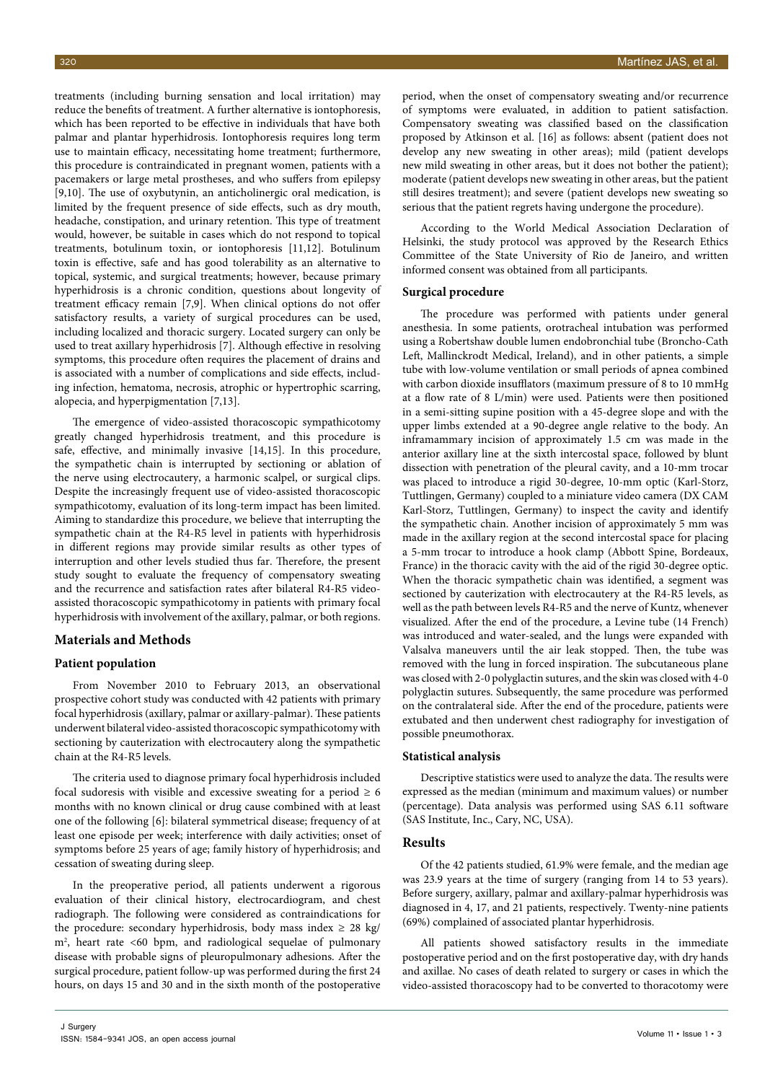treatments (including burning sensation and local irritation) may reduce the benefits of treatment. A further alternative is iontophoresis, which has been reported to be effective in individuals that have both palmar and plantar hyperhidrosis. Iontophoresis requires long term use to maintain efficacy, necessitating home treatment; furthermore, this procedure is contraindicated in pregnant women, patients with a pacemakers or large metal prostheses, and who suffers from epilepsy [9,10]. The use of oxybutynin, an anticholinergic oral medication, is limited by the frequent presence of side effects, such as dry mouth, headache, constipation, and urinary retention. This type of treatment would, however, be suitable in cases which do not respond to topical treatments, botulinum toxin, or iontophoresis [11,12]. Botulinum toxin is effective, safe and has good tolerability as an alternative to topical, systemic, and surgical treatments; however, because primary hyperhidrosis is a chronic condition, questions about longevity of treatment efficacy remain [7,9]. When clinical options do not offer satisfactory results, a variety of surgical procedures can be used, including localized and thoracic surgery. Located surgery can only be used to treat axillary hyperhidrosis [7]. Although effective in resolving symptoms, this procedure often requires the placement of drains and is associated with a number of complications and side effects, including infection, hematoma, necrosis, atrophic or hypertrophic scarring, alopecia, and hyperpigmentation [7,13].

The emergence of video-assisted thoracoscopic sympathicotomy greatly changed hyperhidrosis treatment, and this procedure is safe, effective, and minimally invasive [14,15]. In this procedure, the sympathetic chain is interrupted by sectioning or ablation of the nerve using electrocautery, a harmonic scalpel, or surgical clips. Despite the increasingly frequent use of video-assisted thoracoscopic sympathicotomy, evaluation of its long-term impact has been limited. Aiming to standardize this procedure, we believe that interrupting the sympathetic chain at the R4-R5 level in patients with hyperhidrosis in different regions may provide similar results as other types of interruption and other levels studied thus far. Therefore, the present study sought to evaluate the frequency of compensatory sweating and the recurrence and satisfaction rates after bilateral R4-R5 videoassisted thoracoscopic sympathicotomy in patients with primary focal hyperhidrosis with involvement of the axillary, palmar, or both regions.

# **Materials and Methods**

## **Patient population**

From November 2010 to February 2013, an observational prospective cohort study was conducted with 42 patients with primary focal hyperhidrosis (axillary, palmar or axillary-palmar). These patients underwent bilateral video-assisted thoracoscopic sympathicotomy with sectioning by cauterization with electrocautery along the sympathetic chain at the R4-R5 levels.

The criteria used to diagnose primary focal hyperhidrosis included focal sudoresis with visible and excessive sweating for a period  $\geq 6$ months with no known clinical or drug cause combined with at least one of the following [6]: bilateral symmetrical disease; frequency of at least one episode per week; interference with daily activities; onset of symptoms before 25 years of age; family history of hyperhidrosis; and cessation of sweating during sleep.

In the preoperative period, all patients underwent a rigorous evaluation of their clinical history, electrocardiogram, and chest radiograph. The following were considered as contraindications for the procedure: secondary hyperhidrosis, body mass index  $\geq 28$  kg/ m2 , heart rate <60 bpm, and radiological sequelae of pulmonary disease with probable signs of pleuropulmonary adhesions. After the surgical procedure, patient follow-up was performed during the first 24 hours, on days 15 and 30 and in the sixth month of the postoperative

period, when the onset of compensatory sweating and/or recurrence of symptoms were evaluated, in addition to patient satisfaction. Compensatory sweating was classified based on the classification proposed by Atkinson et al. [16] as follows: absent (patient does not develop any new sweating in other areas); mild (patient develops new mild sweating in other areas, but it does not bother the patient); moderate (patient develops new sweating in other areas, but the patient still desires treatment); and severe (patient develops new sweating so serious that the patient regrets having undergone the procedure).

According to the World Medical Association Declaration of Helsinki, the study protocol was approved by the Research Ethics Committee of the State University of Rio de Janeiro, and written informed consent was obtained from all participants.

## **Surgical procedure**

The procedure was performed with patients under general anesthesia. In some patients, orotracheal intubation was performed using a Robertshaw double lumen endobronchial tube (Broncho-Cath Left, Mallinckrodt Medical, Ireland), and in other patients, a simple tube with low-volume ventilation or small periods of apnea combined with carbon dioxide insufflators (maximum pressure of 8 to 10 mmHg at a flow rate of 8 L/min) were used. Patients were then positioned in a semi-sitting supine position with a 45-degree slope and with the upper limbs extended at a 90-degree angle relative to the body. An inframammary incision of approximately 1.5 cm was made in the anterior axillary line at the sixth intercostal space, followed by blunt dissection with penetration of the pleural cavity, and a 10-mm trocar was placed to introduce a rigid 30-degree, 10-mm optic (Karl-Storz, Tuttlingen, Germany) coupled to a miniature video camera (DX CAM Karl-Storz, Tuttlingen, Germany) to inspect the cavity and identify the sympathetic chain. Another incision of approximately 5 mm was made in the axillary region at the second intercostal space for placing a 5-mm trocar to introduce a hook clamp (Abbott Spine, Bordeaux, France) in the thoracic cavity with the aid of the rigid 30-degree optic. When the thoracic sympathetic chain was identified, a segment was sectioned by cauterization with electrocautery at the R4-R5 levels, as well as the path between levels R4-R5 and the nerve of Kuntz, whenever visualized. After the end of the procedure, a Levine tube (14 French) was introduced and water-sealed, and the lungs were expanded with Valsalva maneuvers until the air leak stopped. Then, the tube was removed with the lung in forced inspiration. The subcutaneous plane was closed with 2-0 polyglactin sutures, and the skin was closed with 4-0 polyglactin sutures. Subsequently, the same procedure was performed on the contralateral side. After the end of the procedure, patients were extubated and then underwent chest radiography for investigation of possible pneumothorax.

### **Statistical analysis**

Descriptive statistics were used to analyze the data. The results were expressed as the median (minimum and maximum values) or number (percentage). Data analysis was performed using SAS 6.11 software (SAS Institute, Inc., Cary, NC, USA).

## **Results**

Of the 42 patients studied, 61.9% were female, and the median age was 23.9 years at the time of surgery (ranging from 14 to 53 years). Before surgery, axillary, palmar and axillary-palmar hyperhidrosis was diagnosed in 4, 17, and 21 patients, respectively. Twenty-nine patients (69%) complained of associated plantar hyperhidrosis.

All patients showed satisfactory results in the immediate postoperative period and on the first postoperative day, with dry hands and axillae. No cases of death related to surgery or cases in which the video-assisted thoracoscopy had to be converted to thoracotomy were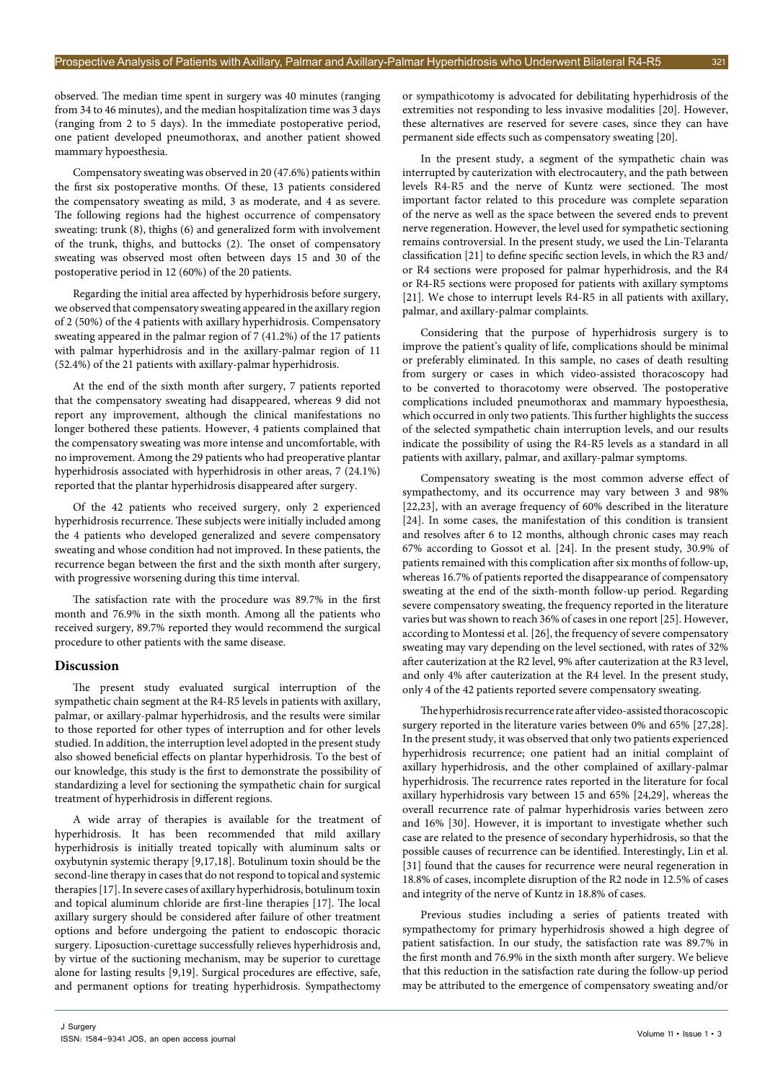observed. The median time spent in surgery was 40 minutes (ranging from 34 to 46 minutes), and the median hospitalization time was 3 days (ranging from 2 to 5 days). In the immediate postoperative period, one patient developed pneumothorax, and another patient showed mammary hypoesthesia.

Compensatory sweating was observed in 20 (47.6%) patients within the first six postoperative months. Of these, 13 patients considered the compensatory sweating as mild, 3 as moderate, and 4 as severe. The following regions had the highest occurrence of compensatory sweating: trunk (8), thighs (6) and generalized form with involvement of the trunk, thighs, and buttocks (2). The onset of compensatory sweating was observed most often between days 15 and 30 of the postoperative period in 12 (60%) of the 20 patients.

Regarding the initial area affected by hyperhidrosis before surgery, we observed that compensatory sweating appeared in the axillary region of 2 (50%) of the 4 patients with axillary hyperhidrosis. Compensatory sweating appeared in the palmar region of 7 (41.2%) of the 17 patients with palmar hyperhidrosis and in the axillary-palmar region of 11 (52.4%) of the 21 patients with axillary-palmar hyperhidrosis.

At the end of the sixth month after surgery, 7 patients reported that the compensatory sweating had disappeared, whereas 9 did not report any improvement, although the clinical manifestations no longer bothered these patients. However, 4 patients complained that the compensatory sweating was more intense and uncomfortable, with no improvement. Among the 29 patients who had preoperative plantar hyperhidrosis associated with hyperhidrosis in other areas, 7 (24.1%) reported that the plantar hyperhidrosis disappeared after surgery.

Of the 42 patients who received surgery, only 2 experienced hyperhidrosis recurrence. These subjects were initially included among the 4 patients who developed generalized and severe compensatory sweating and whose condition had not improved. In these patients, the recurrence began between the first and the sixth month after surgery, with progressive worsening during this time interval.

The satisfaction rate with the procedure was 89.7% in the first month and 76.9% in the sixth month. Among all the patients who received surgery, 89.7% reported they would recommend the surgical procedure to other patients with the same disease.

## **Discussion**

The present study evaluated surgical interruption of the sympathetic chain segment at the R4-R5 levels in patients with axillary, palmar, or axillary-palmar hyperhidrosis, and the results were similar to those reported for other types of interruption and for other levels studied. In addition, the interruption level adopted in the present study also showed beneficial effects on plantar hyperhidrosis. To the best of our knowledge, this study is the first to demonstrate the possibility of standardizing a level for sectioning the sympathetic chain for surgical treatment of hyperhidrosis in different regions.

A wide array of therapies is available for the treatment of hyperhidrosis. It has been recommended that mild axillary hyperhidrosis is initially treated topically with aluminum salts or oxybutynin systemic therapy [9,17,18]. Botulinum toxin should be the second-line therapy in cases that do not respond to topical and systemic therapies [17]. In severe cases of axillary hyperhidrosis, botulinum toxin and topical aluminum chloride are first-line therapies [17]. The local axillary surgery should be considered after failure of other treatment options and before undergoing the patient to endoscopic thoracic surgery. Liposuction-curettage successfully relieves hyperhidrosis and, by virtue of the suctioning mechanism, may be superior to curettage alone for lasting results [9,19]. Surgical procedures are effective, safe, and permanent options for treating hyperhidrosis. Sympathectomy or sympathicotomy is advocated for debilitating hyperhidrosis of the extremities not responding to less invasive modalities [20]. However, these alternatives are reserved for severe cases, since they can have permanent side effects such as compensatory sweating [20].

In the present study, a segment of the sympathetic chain was interrupted by cauterization with electrocautery, and the path between levels R4-R5 and the nerve of Kuntz were sectioned. The most important factor related to this procedure was complete separation of the nerve as well as the space between the severed ends to prevent nerve regeneration. However, the level used for sympathetic sectioning remains controversial. In the present study, we used the Lin-Telaranta classification [21] to define specific section levels, in which the R3 and/ or R4 sections were proposed for palmar hyperhidrosis, and the R4 or R4-R5 sections were proposed for patients with axillary symptoms [21]. We chose to interrupt levels R4-R5 in all patients with axillary, palmar, and axillary-palmar complaints.

Considering that the purpose of hyperhidrosis surgery is to improve the patient's quality of life, complications should be minimal or preferably eliminated. In this sample, no cases of death resulting from surgery or cases in which video-assisted thoracoscopy had to be converted to thoracotomy were observed. The postoperative complications included pneumothorax and mammary hypoesthesia, which occurred in only two patients. This further highlights the success of the selected sympathetic chain interruption levels, and our results indicate the possibility of using the R4-R5 levels as a standard in all patients with axillary, palmar, and axillary-palmar symptoms.

Compensatory sweating is the most common adverse effect of sympathectomy, and its occurrence may vary between 3 and 98% [22,23], with an average frequency of 60% described in the literature [24]. In some cases, the manifestation of this condition is transient and resolves after 6 to 12 months, although chronic cases may reach 67% according to Gossot et al. [24]. In the present study, 30.9% of patients remained with this complication after six months of follow-up, whereas 16.7% of patients reported the disappearance of compensatory sweating at the end of the sixth-month follow-up period. Regarding severe compensatory sweating, the frequency reported in the literature varies but was shown to reach 36% of cases in one report [25]. However, according to Montessi et al. [26], the frequency of severe compensatory sweating may vary depending on the level sectioned, with rates of 32% after cauterization at the R2 level, 9% after cauterization at the R3 level, and only 4% after cauterization at the R4 level. In the present study, only 4 of the 42 patients reported severe compensatory sweating.

The hyperhidrosis recurrence rate after video-assisted thoracoscopic surgery reported in the literature varies between 0% and 65% [27,28]. In the present study, it was observed that only two patients experienced hyperhidrosis recurrence; one patient had an initial complaint of axillary hyperhidrosis, and the other complained of axillary-palmar hyperhidrosis. The recurrence rates reported in the literature for focal axillary hyperhidrosis vary between 15 and 65% [24,29], whereas the overall recurrence rate of palmar hyperhidrosis varies between zero and 16% [30]. However, it is important to investigate whether such case are related to the presence of secondary hyperhidrosis, so that the possible causes of recurrence can be identified. Interestingly, Lin et al. [31] found that the causes for recurrence were neural regeneration in 18.8% of cases, incomplete disruption of the R2 node in 12.5% of cases and integrity of the nerve of Kuntz in 18.8% of cases.

Previous studies including a series of patients treated with sympathectomy for primary hyperhidrosis showed a high degree of patient satisfaction. In our study, the satisfaction rate was 89.7% in the first month and 76.9% in the sixth month after surgery. We believe that this reduction in the satisfaction rate during the follow-up period may be attributed to the emergence of compensatory sweating and/or